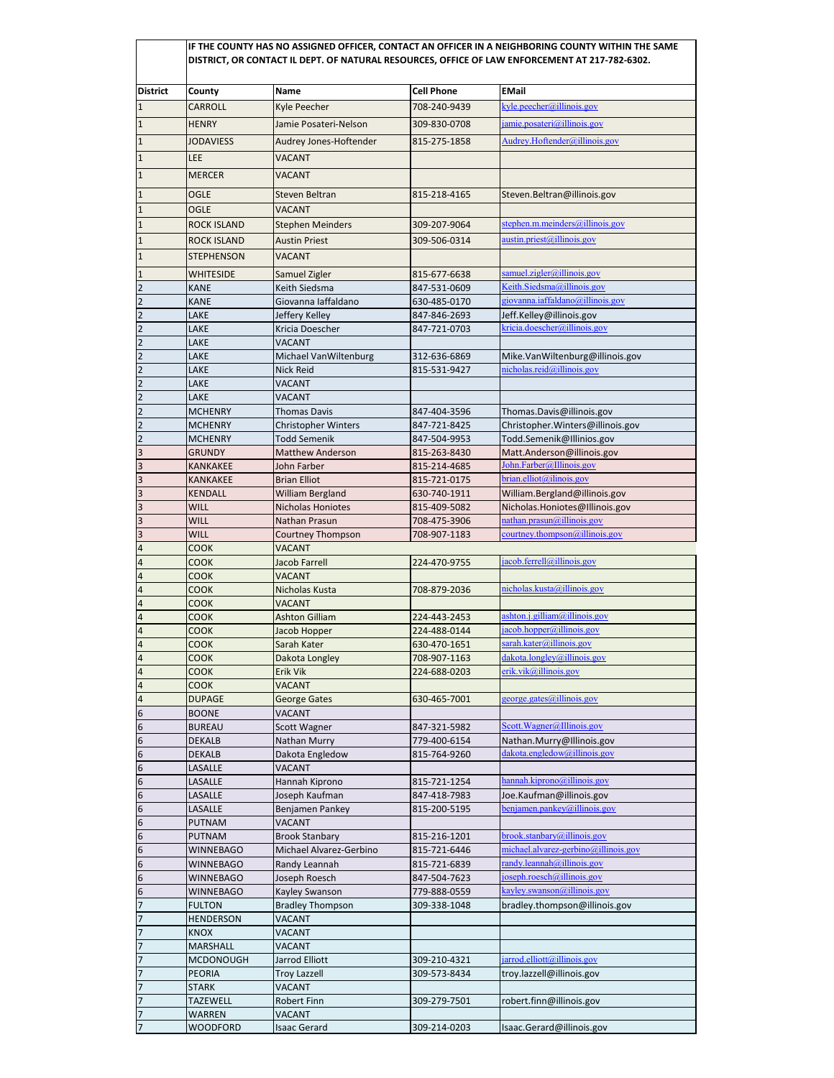|                                  |                                      | IF THE COUNTY HAS NO ASSIGNED OFFICER, CONTACT AN OFFICER IN A NEIGHBORING COUNTY WITHIN THE SAME<br>DISTRICT, OR CONTACT IL DEPT. OF NATURAL RESOURCES, OFFICE OF LAW ENFORCEMENT AT 217-782-6302. |                              |                                                          |  |  |  |
|----------------------------------|--------------------------------------|-----------------------------------------------------------------------------------------------------------------------------------------------------------------------------------------------------|------------------------------|----------------------------------------------------------|--|--|--|
| <b>District</b>                  | County                               | Name                                                                                                                                                                                                | <b>Cell Phone</b>            | <b>EMail</b>                                             |  |  |  |
| $\mathbf{1}$                     | <b>CARROLL</b>                       | Kyle Peecher                                                                                                                                                                                        | 708-240-9439                 | kyle.peecher@illinois.gov                                |  |  |  |
| $\mathbf{1}$                     | <b>HENRY</b>                         | Jamie Posateri-Nelson                                                                                                                                                                               | 309-830-0708                 | jamie.posateri@illinois.gov                              |  |  |  |
|                                  |                                      |                                                                                                                                                                                                     |                              | Audrey.Hoftender@illinois.gov                            |  |  |  |
| $\mathbf{1}$                     | <b>JODAVIESS</b>                     | Audrey Jones-Hoftender                                                                                                                                                                              | 815-275-1858                 |                                                          |  |  |  |
| $\mathbf{1}$                     | <b>LEE</b>                           | <b>VACANT</b>                                                                                                                                                                                       |                              |                                                          |  |  |  |
| $\mathbf{1}$                     | <b>MERCER</b>                        | <b>VACANT</b>                                                                                                                                                                                       |                              |                                                          |  |  |  |
| $\mathbf{1}$                     | <b>OGLE</b>                          | Steven Beltran                                                                                                                                                                                      | 815-218-4165                 | Steven.Beltran@illinois.gov                              |  |  |  |
| 1                                | <b>OGLE</b>                          | VACANT                                                                                                                                                                                              |                              |                                                          |  |  |  |
| $\mathbf{1}$                     | <b>ROCK ISLAND</b>                   | <b>Stephen Meinders</b>                                                                                                                                                                             | 309-207-9064                 | stephen.m.meinders@illinois.gov                          |  |  |  |
| $\mathbf{1}$                     | <b>ROCK ISLAND</b>                   | <b>Austin Priest</b>                                                                                                                                                                                | 309-506-0314                 | austin.priest@illinois.gov                               |  |  |  |
| $\mathbf{1}$                     | <b>STEPHENSON</b>                    | <b>VACANT</b>                                                                                                                                                                                       |                              |                                                          |  |  |  |
| 1                                | <b>WHITESIDE</b>                     | Samuel Zigler                                                                                                                                                                                       | 815-677-6638                 | samuel.zigler@illinois.gov                               |  |  |  |
| $\overline{2}$                   | <b>KANE</b>                          | Keith Siedsma                                                                                                                                                                                       | 847-531-0609                 | Keith.Siedsma@illinois.gov                               |  |  |  |
| $\overline{2}$                   | <b>KANE</b>                          | Giovanna laffaldano                                                                                                                                                                                 | 630-485-0170                 | giovanna.iaffaldano@illinois.gov                         |  |  |  |
| $\overline{2}$                   | LAKE                                 | Jeffery Kelley                                                                                                                                                                                      | 847-846-2693                 | Jeff.Kelley@illinois.gov                                 |  |  |  |
| $\overline{2}$                   | LAKE                                 | Kricia Doescher                                                                                                                                                                                     | 847-721-0703                 | kricia.doescher@illinois.gov                             |  |  |  |
| $\overline{2}$                   | LAKE                                 | <b>VACANT</b>                                                                                                                                                                                       |                              |                                                          |  |  |  |
| $\overline{2}$                   | LAKE                                 | Michael VanWiltenburg                                                                                                                                                                               | 312-636-6869                 | Mike.VanWiltenburg@illinois.gov                          |  |  |  |
| $\overline{2}$                   | LAKE                                 | Nick Reid                                                                                                                                                                                           | 815-531-9427                 | nicholas.reid@illinois.gov                               |  |  |  |
| $\overline{2}$                   | LAKE                                 | <b>VACANT</b>                                                                                                                                                                                       |                              |                                                          |  |  |  |
| $\overline{2}$<br>$\overline{2}$ | LAKE<br><b>MCHENRY</b>               | VACANT<br><b>Thomas Davis</b>                                                                                                                                                                       | 847-404-3596                 | Thomas.Davis@illinois.gov                                |  |  |  |
| $\overline{2}$                   | <b>MCHENRY</b>                       | <b>Christopher Winters</b>                                                                                                                                                                          | 847-721-8425                 | Christopher. Winters@illinois.gov                        |  |  |  |
| 2                                | <b>MCHENRY</b>                       | <b>Todd Semenik</b>                                                                                                                                                                                 | 847-504-9953                 | Todd.Semenik@Illinios.gov                                |  |  |  |
| 3                                | <b>GRUNDY</b>                        | <b>Matthew Anderson</b>                                                                                                                                                                             | 815-263-8430                 | Matt.Anderson@illinois.gov                               |  |  |  |
| 3                                | <b>KANKAKEE</b>                      | John Farber                                                                                                                                                                                         | 815-214-4685                 | John.Farber@Illinois.gov                                 |  |  |  |
| 3                                | <b>KANKAKEE</b>                      | <b>Brian Elliot</b>                                                                                                                                                                                 | 815-721-0175                 | brian.elliot@ilinois.gov                                 |  |  |  |
| 3                                | <b>KENDALL</b>                       | William Bergland                                                                                                                                                                                    | 630-740-1911                 | William.Bergland@illinois.gov                            |  |  |  |
| 3                                | <b>WILL</b>                          | Nicholas Honiotes                                                                                                                                                                                   | 815-409-5082                 | Nicholas.Honiotes@Illinois.gov                           |  |  |  |
| 3                                | <b>WILL</b>                          | Nathan Prasun                                                                                                                                                                                       | 708-475-3906                 | nathan.prasun@illinois.gov                               |  |  |  |
| 3                                | <b>WILL</b>                          | <b>Courtney Thompson</b>                                                                                                                                                                            | 708-907-1183                 | courtney.thompson@illinois.gov                           |  |  |  |
| 4                                | <b>COOK</b>                          | <b>VACANT</b>                                                                                                                                                                                       |                              | jacob.ferrell@illinois.gov                               |  |  |  |
| 4<br>$\overline{\mathbf{4}}$     | <b>COOK</b><br><b>COOK</b>           | Jacob Farrell<br><b>VACANT</b>                                                                                                                                                                      | 224-470-9755                 |                                                          |  |  |  |
| 4                                | <b>COOK</b>                          | Nicholas Kusta                                                                                                                                                                                      | 708-879-2036                 | nicholas.kusta@illinois.gov                              |  |  |  |
| 4                                | <b>COOK</b>                          | <b>VACANT</b>                                                                                                                                                                                       |                              |                                                          |  |  |  |
| 4                                | <b>COOK</b>                          | <b>Ashton Gilliam</b>                                                                                                                                                                               | 224-443-2453                 | ashton.j.gilliam@illinois.gov                            |  |  |  |
| 4                                | <b>COOK</b>                          | Jacob Hopper                                                                                                                                                                                        | 224-488-0144                 | jacob.hopper@illinois.gov                                |  |  |  |
| $\overline{4}$                   | <b>COOK</b>                          | Sarah Kater                                                                                                                                                                                         | 630-470-1651                 | sarah.kater@illinois.gov                                 |  |  |  |
| 4                                | <b>COOK</b>                          | Dakota Longley                                                                                                                                                                                      | 708-907-1163                 | dakota.longley@illinois.gov                              |  |  |  |
| 4                                | <b>COOK</b>                          | Erik Vik                                                                                                                                                                                            | 224-688-0203                 | erik.vik@illinois.gov                                    |  |  |  |
| $\overline{\mathbf{4}}$          | COOK                                 | VACANT                                                                                                                                                                                              |                              |                                                          |  |  |  |
| 4                                | <b>DUPAGE</b>                        | <b>George Gates</b>                                                                                                                                                                                 | 630-465-7001                 | george.gates@illinois.gov                                |  |  |  |
| 6<br>6                           | <b>BOONE</b><br><b>BUREAU</b>        | VACANT<br>Scott Wagner                                                                                                                                                                              | 847-321-5982                 | Scott.Wagner@Illinois.gov                                |  |  |  |
| 6                                | <b>DEKALB</b>                        | Nathan Murry                                                                                                                                                                                        | 779-400-6154                 | Nathan.Murry@Illinois.gov                                |  |  |  |
| 6                                | <b>DEKALB</b>                        | Dakota Engledow                                                                                                                                                                                     | 815-764-9260                 | dakota.engledow@illinois.gov                             |  |  |  |
| 6                                | LASALLE                              | VACANT                                                                                                                                                                                              |                              |                                                          |  |  |  |
| 6                                | LASALLE                              | Hannah Kiprono                                                                                                                                                                                      | 815-721-1254                 | hannah.kiprono@illinois.gov                              |  |  |  |
| 6                                | LASALLE                              | Joseph Kaufman                                                                                                                                                                                      | 847-418-7983                 | Joe.Kaufman@illinois.gov                                 |  |  |  |
| 6                                | LASALLE                              | Benjamen Pankey                                                                                                                                                                                     | 815-200-5195                 | benjamen.pathey@illinois.gov                             |  |  |  |
| 6                                | PUTNAM                               | VACANT                                                                                                                                                                                              |                              |                                                          |  |  |  |
| 6                                | <b>PUTNAM</b>                        | <b>Brook Stanbary</b>                                                                                                                                                                               | 815-216-1201                 | brook.stanbary@illinois.gov                              |  |  |  |
| 6                                | <b>WINNEBAGO</b>                     | Michael Alvarez-Gerbino                                                                                                                                                                             | 815-721-6446                 | michael.alvarez-gerbino@illinois.gov                     |  |  |  |
| 6                                | WINNEBAGO                            | Randy Leannah                                                                                                                                                                                       | 815-721-6839                 | randy.leannah@illinois.gov<br>joseph.roesch@illinois.gov |  |  |  |
| 6<br>6                           | <b>WINNEBAGO</b><br><b>WINNEBAGO</b> | Joseph Roesch<br>Kayley Swanson                                                                                                                                                                     | 847-504-7623<br>779-888-0559 | kayley.swanson@illinois.gov                              |  |  |  |
| 7                                | <b>FULTON</b>                        | <b>Bradley Thompson</b>                                                                                                                                                                             | 309-338-1048                 | bradley.thompson@illinois.gov                            |  |  |  |
| 7                                | <b>HENDERSON</b>                     | VACANT                                                                                                                                                                                              |                              |                                                          |  |  |  |
| 7                                | <b>KNOX</b>                          | VACANT                                                                                                                                                                                              |                              |                                                          |  |  |  |
| $\overline{7}$                   | MARSHALL                             | VACANT                                                                                                                                                                                              |                              |                                                          |  |  |  |
| 7                                | <b>MCDONOUGH</b>                     | Jarrod Elliott                                                                                                                                                                                      | 309-210-4321                 | jarrod.elliott@illinois.gov                              |  |  |  |
| 7                                | <b>PEORIA</b>                        | <b>Troy Lazzell</b>                                                                                                                                                                                 | 309-573-8434                 | troy.lazzell@illinois.gov                                |  |  |  |
| 7                                | STARK                                | <b>VACANT</b>                                                                                                                                                                                       |                              |                                                          |  |  |  |
| $\overline{7}$                   | <b>TAZEWELL</b>                      | Robert Finn                                                                                                                                                                                         | 309-279-7501                 | robert.finn@illinois.gov                                 |  |  |  |
| 7                                | <b>WARREN</b>                        | VACANT                                                                                                                                                                                              |                              |                                                          |  |  |  |
|                                  | <b>WOODFORD</b>                      | <b>Isaac Gerard</b>                                                                                                                                                                                 | 309-214-0203                 | Isaac.Gerard@illinois.gov                                |  |  |  |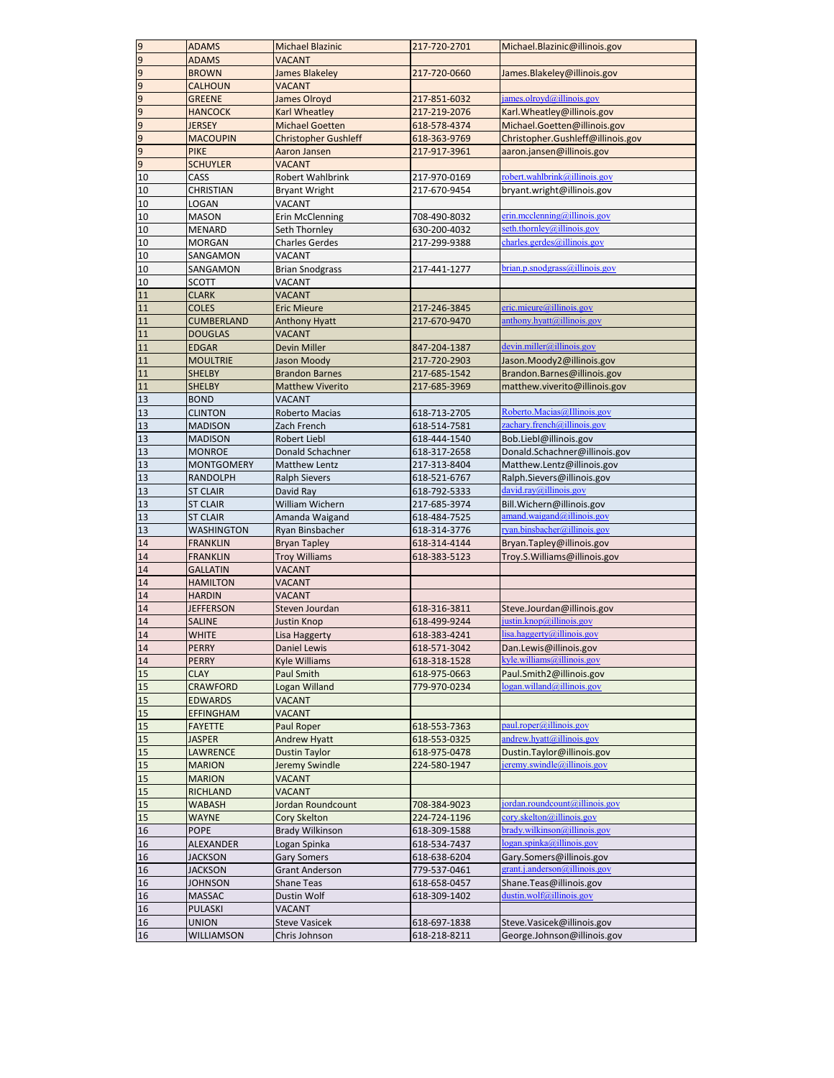| 9                | <b>ADAMS</b>      | <b>Michael Blazinic</b>     | 217-720-2701                 | Michael.Blazinic@illinois.gov                             |
|------------------|-------------------|-----------------------------|------------------------------|-----------------------------------------------------------|
| 9                | <b>ADAMS</b>      | <b>VACANT</b>               |                              |                                                           |
| 9                | <b>BROWN</b>      | James Blakeley              | 217-720-0660                 | James.Blakeley@illinois.gov                               |
| 9                | <b>CALHOUN</b>    | <b>VACANT</b>               |                              |                                                           |
| 9                | <b>GREENE</b>     | James Olroyd                | 217-851-6032                 | james.olroyd@illinois.gov                                 |
| $\overline{9}$   | <b>HANCOCK</b>    | Karl Wheatley               | 217-219-2076                 | Karl. Wheatley@illinois.gov                               |
| $\overline{9}$   | <b>JERSEY</b>     | <b>Michael Goetten</b>      | 618-578-4374                 | Michael.Goetten@illinois.gov                              |
| $\overline{9}$   | <b>MACOUPIN</b>   | <b>Christopher Gushleff</b> | 618-363-9769                 | Christopher.Gushleff@illinois.gov                         |
| $\boldsymbol{9}$ | <b>PIKE</b>       | Aaron Jansen                | 217-917-3961                 | aaron.jansen@illinois.gov                                 |
| $\overline{9}$   | <b>SCHUYLER</b>   | <b>VACANT</b>               |                              |                                                           |
| 10               | CASS              | Robert Wahlbrink            | 217-970-0169                 | robert.wahlbrink@illinois.gov                             |
| 10               | <b>CHRISTIAN</b>  | <b>Bryant Wright</b>        | 217-670-9454                 | bryant.wright@illinois.gov                                |
| 10               | <b>LOGAN</b>      | VACANT                      |                              |                                                           |
| 10               | <b>MASON</b>      | <b>Erin McClenning</b>      | 708-490-8032                 | $erin$ .mcclenning@illinois.gov                           |
| 10               | MENARD            | Seth Thornley               | 630-200-4032                 | seth.thornley@illinois.gov                                |
| 10               | <b>MORGAN</b>     | <b>Charles Gerdes</b>       | 217-299-9388                 | charles.gerdes@illinois.gov                               |
| 10               | SANGAMON          | VACANT                      |                              |                                                           |
| 10               | SANGAMON          | <b>Brian Snodgrass</b>      | 217-441-1277                 | brian.p.snodgrass@illinois.gov                            |
| 10               | <b>SCOTT</b>      | VACANT                      |                              |                                                           |
|                  |                   |                             |                              |                                                           |
| 11               | <b>CLARK</b>      | <b>VACANT</b>               |                              | eric.mieure@illinois.gov                                  |
| 11<br>11         | <b>COLES</b>      | <b>Eric Mieure</b>          | 217-246-3845<br>217-670-9470 | anthony.hyatt@illinois.gov                                |
|                  | <b>CUMBERLAND</b> | <b>Anthony Hyatt</b>        |                              |                                                           |
| 11               | <b>DOUGLAS</b>    | <b>VACANT</b>               |                              | devin. miller@illinois.gov                                |
| 11               | <b>EDGAR</b>      | Devin Miller                | 847-204-1387                 |                                                           |
| 11               | <b>MOULTRIE</b>   | Jason Moody                 | 217-720-2903                 | Jason.Moody2@illinois.gov                                 |
| 11               | <b>SHELBY</b>     | <b>Brandon Barnes</b>       | 217-685-1542                 | Brandon.Barnes@illinois.gov                               |
| 11               | <b>SHELBY</b>     | <b>Matthew Viverito</b>     | 217-685-3969                 | matthew.viverito@illinois.gov                             |
| 13               | <b>BOND</b>       | VACANT                      |                              |                                                           |
| 13               | <b>CLINTON</b>    | Roberto Macias              | 618-713-2705                 | Roberto.Macias@Illinois.gov                               |
| 13               | <b>MADISON</b>    | Zach French                 | 618-514-7581                 | zachary.french@illinois.gov                               |
| 13               | <b>MADISON</b>    | <b>Robert Liebl</b>         | 618-444-1540                 | Bob.Liebl@illinois.gov                                    |
| 13               | <b>MONROE</b>     | Donald Schachner            | 618-317-2658                 | Donald.Schachner@illinois.gov                             |
| 13               | <b>MONTGOMERY</b> | Matthew Lentz               | 217-313-8404                 | Matthew.Lentz@illinois.gov                                |
| 13               | <b>RANDOLPH</b>   | <b>Ralph Sievers</b>        | 618-521-6767                 | Ralph.Sievers@illinois.gov                                |
| 13               | <b>ST CLAIR</b>   | David Ray                   | 618-792-5333                 | david.ray@illinois.gov                                    |
| 13               | <b>ST CLAIR</b>   | William Wichern             | 217-685-3974                 | Bill.Wichern@illinois.gov                                 |
| 13               | <b>ST CLAIR</b>   | Amanda Waigand              | 618-484-7525                 | amand.waigand@illinois.gov                                |
| 13               | <b>WASHINGTON</b> | Ryan Binsbacher             | 618-314-3776                 | ryan.binsbacher@illinois.gov                              |
| 14               | <b>FRANKLIN</b>   | <b>Bryan Tapley</b>         | 618-314-4144                 | Bryan.Tapley@illinois.gov                                 |
| 14               | <b>FRANKLIN</b>   | <b>Troy Williams</b>        | 618-383-5123                 | Troy.S.Williams@illinois.gov                              |
| 14               | <b>GALLATIN</b>   | <b>VACANT</b>               |                              |                                                           |
| 14               | <b>HAMILTON</b>   | VACANT                      |                              |                                                           |
| 14               | <b>HARDIN</b>     | VACANT                      |                              |                                                           |
| 14               | <b>JEFFERSON</b>  | Steven Jourdan              | 618-316-3811                 | Steve.Jourdan@illinois.gov                                |
| 14               | <b>SALINE</b>     | Justin Knop                 | 618-499-9244                 | justin.knop@illinois.gov                                  |
| 14               | <b>WHITE</b>      | Lisa Haggerty               | 618-383-4241                 | lisa.haggerty@illinois.gov                                |
| 14               | <b>PERRY</b>      | <b>Daniel Lewis</b>         | 618-571-3042                 | Dan.Lewis@illinois.gov                                    |
| 14               | <b>PERRY</b>      | <b>Kyle Williams</b>        | 618-318-1528                 | kyle.williams@illinois.gov                                |
| 15               | <b>CLAY</b>       | <b>Paul Smith</b>           | 618-975-0663                 | Paul.Smith2@illinois.gov                                  |
| 15               | CRAWFORD          | Logan Willand               | 779-970-0234                 | logan.willand@illinois.gov                                |
| 15               | <b>EDWARDS</b>    | VACANT                      |                              |                                                           |
| 15               | <b>EFFINGHAM</b>  | <b>VACANT</b>               |                              |                                                           |
| 15               | <b>FAYETTE</b>    | Paul Roper                  | 618-553-7363                 | paul.roper@illinois.gov                                   |
| 15               | <b>JASPER</b>     | <b>Andrew Hyatt</b>         | 618-553-0325                 | $and$ rew.hyatt@illinois.gov                              |
| 15               | LAWRENCE          | <b>Dustin Taylor</b>        | 618-975-0478                 | Dustin.Taylor@illinois.gov                                |
| 15               | <b>MARION</b>     | Jeremy Swindle              | 224-580-1947                 | jeremy.swindle@illinois.gov                               |
| 15               | <b>MARION</b>     | VACANT                      |                              |                                                           |
| 15               | <b>RICHLAND</b>   | VACANT                      |                              |                                                           |
| 15               | <b>WABASH</b>     | Jordan Roundcount           | 708-384-9023                 | jordan.roundcount@illinois.gov                            |
| 15               | <b>WAYNE</b>      | Cory Skelton                | 224-724-1196                 | cory.skelton@illinois.gov                                 |
| 16               | <b>POPE</b>       | <b>Brady Wilkinson</b>      | 618-309-1588                 | brady.wilkinson@illinois.gov                              |
|                  |                   |                             |                              | logan.spika@illinois.gov                                  |
| 16               | ALEXANDER         | Logan Spinka                | 618-534-7437                 |                                                           |
| 16               | <b>JACKSON</b>    | <b>Gary Somers</b>          | 618-638-6204                 | Gary.Somers@illinois.gov<br>grant.j.anderson@illinois.gov |
| 16               | <b>JACKSON</b>    | <b>Grant Anderson</b>       | 779-537-0461                 |                                                           |
| 16               | <b>JOHNSON</b>    | <b>Shane Teas</b>           | 618-658-0457                 | Shane.Teas@illinois.gov                                   |
| 16               | <b>MASSAC</b>     | Dustin Wolf                 | 618-309-1402                 | dustin.wolf@illinois.gov                                  |
| 16               | <b>PULASKI</b>    | VACANT                      |                              |                                                           |
| 16               | <b>UNION</b>      | <b>Steve Vasicek</b>        | 618-697-1838                 | Steve.Vasicek@illinois.gov                                |
| 16               | WILLIAMSON        | Chris Johnson               | 618-218-8211                 | George.Johnson@illinois.gov                               |